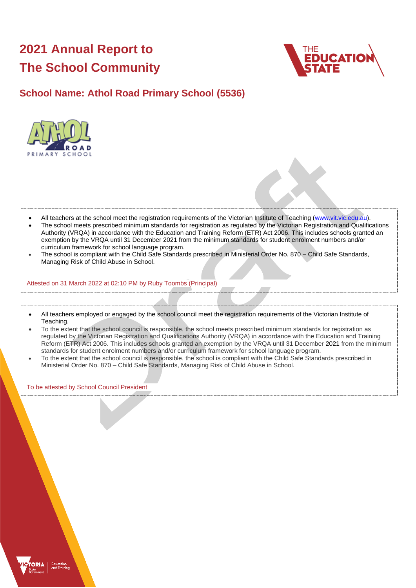# **2021 Annual Report to The School Community**



# **School Name: Athol Road Primary School (5536)**



- All teachers at the school meet the registration requirements of the Victorian Institute of Teaching [\(www.vit.vic.edu.au\)](https://www.vit.vic.edu.au/).
- The school meets prescribed minimum standards for registration as regulated by the Victorian Registration and Qualifications Authority (VRQA) in accordance with the Education and Training Reform (ETR) Act 2006. This includes schools granted an exemption by the VRQA until 31 December 2021 from the minimum standards for student enrolment numbers and/or curriculum framework for school language program.
- The school is compliant with the Child Safe Standards prescribed in Ministerial Order No. 870 Child Safe Standards, Managing Risk of Child Abuse in School.

Attested on 31 March 2022 at 02:10 PM by Ruby Toombs (Principal)

- All teachers employed or engaged by the school council meet the registration requirements of the Victorian Institute of Teaching.
- To the extent that the school council is responsible, the school meets prescribed minimum standards for registration as regulated by the Victorian Registration and Qualifications Authority (VRQA) in accordance with the Education and Training Reform (ETR) Act 2006. This includes schools granted an exemption by the VRQA until 31 December 2021 from the minimum standards for student enrolment numbers and/or curriculum framework for school language program.
- To the extent that the school council is responsible, the school is compliant with the Child Safe Standards prescribed in Ministerial Order No. 870 – Child Safe Standards, Managing Risk of Child Abuse in School.

To be attested by School Council President

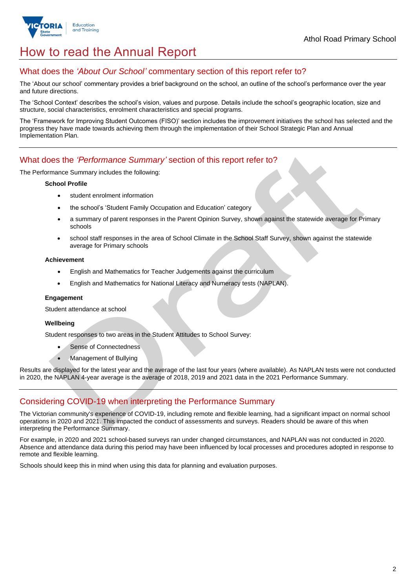

# How to read the Annual Report

### What does the *'About Our School'* commentary section of this report refer to?

The 'About our school' commentary provides a brief background on the school, an outline of the school's performance over the year and future directions.

The 'School Context' describes the school's vision, values and purpose. Details include the school's geographic location, size and structure, social characteristics, enrolment characteristics and special programs.

The 'Framework for Improving Student Outcomes (FISO)' section includes the improvement initiatives the school has selected and the progress they have made towards achieving them through the implementation of their School Strategic Plan and Annual Implementation Plan.

#### What does the *'Performance Summary'* section of this report refer to?

The Performance Summary includes the following:

#### **School Profile**

- student enrolment information
- the school's 'Student Family Occupation and Education' category
- a summary of parent responses in the Parent Opinion Survey, shown against the statewide average for Primary schools
- school staff responses in the area of School Climate in the School Staff Survey, shown against the statewide average for Primary schools

#### **Achievement**

- English and Mathematics for Teacher Judgements against the curriculum
- English and Mathematics for National Literacy and Numeracy tests (NAPLAN).

#### **Engagement**

Student attendance at school

#### **Wellbeing**

Student responses to two areas in the Student Attitudes to School Survey:

- Sense of Connectedness
- Management of Bullying

Results are displayed for the latest year and the average of the last four years (where available). As NAPLAN tests were not conducted in 2020, the NAPLAN 4-year average is the average of 2018, 2019 and 2021 data in the 2021 Performance Summary.

# Considering COVID-19 when interpreting the Performance Summary

The Victorian community's experience of COVID-19, including remote and flexible learning, had a significant impact on normal school operations in 2020 and 2021. This impacted the conduct of assessments and surveys. Readers should be aware of this when interpreting the Performance Summary.

For example, in 2020 and 2021 school-based surveys ran under changed circumstances, and NAPLAN was not conducted in 2020. Absence and attendance data during this period may have been influenced by local processes and procedures adopted in response to remote and flexible learning.

Schools should keep this in mind when using this data for planning and evaluation purposes.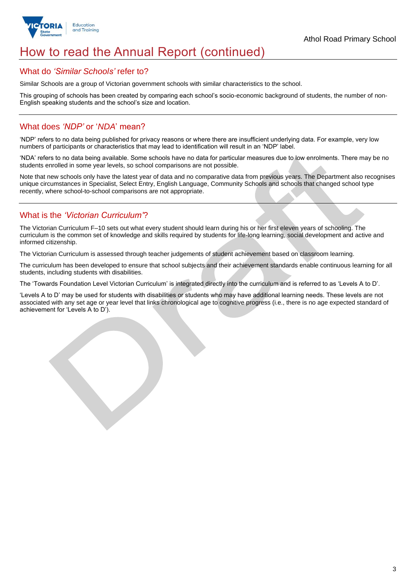

# How to read the Annual Report (continued)

#### What do *'Similar Schools'* refer to?

Similar Schools are a group of Victorian government schools with similar characteristics to the school.

This grouping of schools has been created by comparing each school's socio-economic background of students, the number of non-English speaking students and the school's size and location.

## What does *'NDP'* or '*NDA*' mean?

'NDP' refers to no data being published for privacy reasons or where there are insufficient underlying data. For example, very low numbers of participants or characteristics that may lead to identification will result in an 'NDP' label.

'NDA' refers to no data being available. Some schools have no data for particular measures due to low enrolments. There may be no students enrolled in some year levels, so school comparisons are not possible.

Note that new schools only have the latest year of data and no comparative data from previous years. The Department also recognises unique circumstances in Specialist, Select Entry, English Language, Community Schools and schools that changed school type recently, where school-to-school comparisons are not appropriate.

# What is the *'Victorian Curriculum'*?

The Victorian Curriculum F–10 sets out what every student should learn during his or her first eleven years of schooling. The curriculum is the common set of knowledge and skills required by students for life-long learning, social development and active and informed citizenship.

The Victorian Curriculum is assessed through teacher judgements of student achievement based on classroom learning.

The curriculum has been developed to ensure that school subjects and their achievement standards enable continuous learning for all students, including students with disabilities.

The 'Towards Foundation Level Victorian Curriculum' is integrated directly into the curriculum and is referred to as 'Levels A to D'.

'Levels A to D' may be used for students with disabilities or students who may have additional learning needs. These levels are not associated with any set age or year level that links chronological age to cognitive progress (i.e., there is no age expected standard of achievement for 'Levels A to D').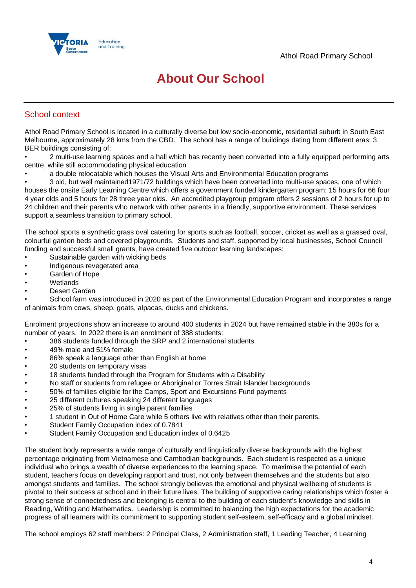

# **About Our School**

### School context

Athol Road Primary School is located in a culturally diverse but low socio-economic, residential suburb in South East Melbourne, approximately 28 kms from the CBD. The school has a range of buildings dating from different eras: 3 BER buildings consisting of:

• 2 multi-use learning spaces and a hall which has recently been converted into a fully equipped performing arts centre, while still accommodating physical education

• a double relocatable which houses the Visual Arts and Environmental Education programs

• 3 old, but well maintained1971/72 buildings which have been converted into multi-use spaces, one of which houses the onsite Early Learning Centre which offers a government funded kindergarten program: 15 hours for 66 four 4 year olds and 5 hours for 28 three year olds. An accredited playgroup program offers 2 sessions of 2 hours for up to 24 children and their parents who network with other parents in a friendly, supportive environment. These services support a seamless transition to primary school.

The school sports a synthetic grass oval catering for sports such as football, soccer, cricket as well as a grassed oval, colourful garden beds and covered playgrounds. Students and staff, supported by local businesses, School Council funding and successful small grants, have created five outdoor learning landscapes:

- Sustainable garden with wicking beds
- Indigenous revegetated area
- Garden of Hope
- **Wetlands**
- Desert Garden

• School farm was introduced in 2020 as part of the Environmental Education Program and incorporates a range of animals from cows, sheep, goats, alpacas, ducks and chickens.

Enrolment projections show an increase to around 400 students in 2024 but have remained stable in the 380s for a number of years. In 2022 there is an enrolment of 388 students:

- 386 students funded through the SRP and 2 international students
- 49% male and 51% female
- 86% speak a language other than English at home
- 20 students on temporary visas
- 18 students funded through the Program for Students with a Disability
- No staff or students from refugee or Aboriginal or Torres Strait Islander backgrounds
- 50% of families eligible for the Camps, Sport and Excursions Fund payments
- 25 different cultures speaking 24 different languages
- 25% of students living in single parent families
- 1 student in Out of Home Care while 5 others live with relatives other than their parents.
- Student Family Occupation index of 0.7841
- Student Family Occupation and Education index of 0.6425

The student body represents a wide range of culturally and linguistically diverse backgrounds with the highest percentage originating from Vietnamese and Cambodian backgrounds. Each student is respected as a unique individual who brings a wealth of diverse experiences to the learning space. To maximise the potential of each student, teachers focus on developing rapport and trust, not only between themselves and the students but also amongst students and families. The school strongly believes the emotional and physical wellbeing of students is pivotal to their success at school and in their future lives. The building of supportive caring relationships which foster a strong sense of connectedness and belonging is central to the building of each student's knowledge and skills in Reading, Writing and Mathematics. Leadership is committed to balancing the high expectations for the academic progress of all learners with its commitment to supporting student self-esteem, self-efficacy and a global mindset.

The school employs 62 staff members: 2 Principal Class, 2 Administration staff, 1 Leading Teacher, 4 Learning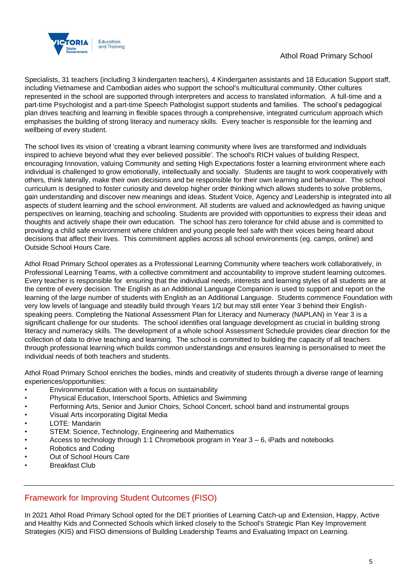

Specialists, 31 teachers (including 3 kindergarten teachers), 4 Kindergarten assistants and 18 Education Support staff, including Vietnamese and Cambodian aides who support the school's multicultural community. Other cultures represented in the school are supported through interpreters and access to translated information. A full-time and a part-time Psychologist and a part-time Speech Pathologist support students and families. The school's pedagogical plan drives teaching and learning in flexible spaces through a comprehensive, integrated curriculum approach which emphasises the building of strong literacy and numeracy skills. Every teacher is responsible for the learning and wellbeing of every student.

The school lives its vision of 'creating a vibrant learning community where lives are transformed and individuals inspired to achieve beyond what they ever believed possible'. The school's RICH values of building Respect, encouraging Innovation, valuing Community and setting High Expectations foster a learning environment where each individual is challenged to grow emotionally, intellectually and socially. Students are taught to work cooperatively with others, think laterally, make their own decisions and be responsible for their own learning and behaviour. The school curriculum is designed to foster curiosity and develop higher order thinking which allows students to solve problems, gain understanding and discover new meanings and ideas. Student Voice, Agency and Leadership is integrated into all aspects of student learning and the school environment. All students are valued and acknowledged as having unique perspectives on learning, teaching and schooling. Students are provided with opportunities to express their ideas and thoughts and actively shape their own education. The school has zero tolerance for child abuse and is committed to providing a child safe environment where children and young people feel safe with their voices being heard about decisions that affect their lives. This commitment applies across all school environments (eg. camps, online) and Outside School Hours Care.

Athol Road Primary School operates as a Professional Learning Community where teachers work collaboratively, in Professional Learning Teams, with a collective commitment and accountability to improve student learning outcomes. Every teacher is responsible for ensuring that the individual needs, interests and learning styles of all students are at the centre of every decision. The English as an Additional Language Companion is used to support and report on the learning of the large number of students with English as an Additional Language. Students commence Foundation with very low levels of language and steadily build through Years 1/2 but may still enter Year 3 behind their Englishspeaking peers. Completing the National Assessment Plan for Literacy and Numeracy (NAPLAN) in Year 3 is a significant challenge for our students. The school identifies oral language development as crucial in building strong literacy and numeracy skills. The development of a whole school Assessment Schedule provides clear direction for the collection of data to drive teaching and learning. The school is committed to building the capacity of all teachers through professional learning which builds common understandings and ensures learning is personalised to meet the individual needs of both teachers and students.

Athol Road Primary School enriches the bodies, minds and creativity of students through a diverse range of learning experiences/opportunities:

- Environmental Education with a focus on sustainability
- Physical Education, Interschool Sports, Athletics and Swimming
- Performing Arts, Senior and Junior Choirs, School Concert, school band and instrumental groups
- Visual Arts incorporating Digital Media
- LOTE: Mandarin
- STEM: Science, Technology, Engineering and Mathematics
- Access to technology through 1:1 Chromebook program in Year  $3 6$ , iPads and notebooks
- Robotics and Coding
- Out of School Hours Care
- Breakfast Club

# Framework for Improving Student Outcomes (FISO)

In 2021 Athol Road Primary School opted for the DET priorities of Learning Catch-up and Extension, Happy, Active and Healthy Kids and Connected Schools which linked closely to the School's Strategic Plan Key Improvement Strategies (KIS) and FISO dimensions of Building Leadership Teams and Evaluating Impact on Learning.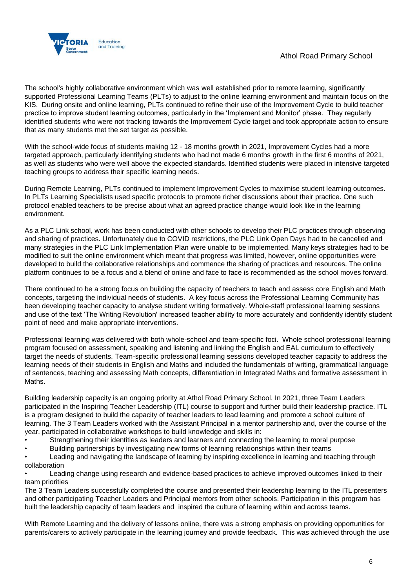

The school's highly collaborative environment which was well established prior to remote learning, significantly supported Professional Learning Teams (PLTs) to adjust to the online learning environment and maintain focus on the KIS. During onsite and online learning, PLTs continued to refine their use of the Improvement Cycle to build teacher practice to improve student learning outcomes, particularly in the 'Implement and Monitor' phase. They regularly identified students who were not tracking towards the Improvement Cycle target and took appropriate action to ensure that as many students met the set target as possible.

With the school-wide focus of students making 12 - 18 months growth in 2021, Improvement Cycles had a more targeted approach, particularly identifying students who had not made 6 months growth in the first 6 months of 2021, as well as students who were well above the expected standards. Identified students were placed in intensive targeted teaching groups to address their specific learning needs.

During Remote Learning, PLTs continued to implement Improvement Cycles to maximise student learning outcomes. In PLTs Learning Specialists used specific protocols to promote richer discussions about their practice. One such protocol enabled teachers to be precise about what an agreed practice change would look like in the learning environment.

As a PLC Link school, work has been conducted with other schools to develop their PLC practices through observing and sharing of practices. Unfortunately due to COVID restrictions, the PLC Link Open Days had to be cancelled and many strategies in the PLC Link Implementation Plan were unable to be implemented. Many keys strategies had to be modified to suit the online environment which meant that progress was limited, however, online opportunities were developed to build the collaborative relationships and commence the sharing of practices and resources. The online platform continues to be a focus and a blend of online and face to face is recommended as the school moves forward.

There continued to be a strong focus on building the capacity of teachers to teach and assess core English and Math concepts, targeting the individual needs of students. A key focus across the Professional Learning Community has been developing teacher capacity to analyse student writing formatively. Whole-staff professional learning sessions and use of the text 'The Writing Revolution' increased teacher ability to more accurately and confidently identify student point of need and make appropriate interventions.

Professional learning was delivered with both whole-school and team-specific foci. Whole school professional learning program focused on assessment, speaking and listening and linking the English and EAL curriculum to effectively target the needs of students. Team-specific professional learning sessions developed teacher capacity to address the learning needs of their students in English and Maths and included the fundamentals of writing, grammatical language of sentences, teaching and assessing Math concepts, differentiation in Integrated Maths and formative assessment in Maths.

Building leadership capacity is an ongoing priority at Athol Road Primary School. In 2021, three Team Leaders participated in the Inspiring Teacher Leadership (ITL) course to support and further build their leadership practice. ITL is a program designed to build the capacity of teacher leaders to lead learning and promote a school culture of learning. The 3 Team Leaders worked with the Assistant Principal in a mentor partnership and, over the course of the year, participated in collaborative workshops to build knowledge and skills in:

- Strengthening their identities as leaders and learners and connecting the learning to moral purpose
- Building partnerships by investigating new forms of learning relationships within their teams

• Leading and navigating the landscape of learning by inspiring excellence in learning and teaching through collaboration

• Leading change using research and evidence-based practices to achieve improved outcomes linked to their team priorities

The 3 Team Leaders successfully completed the course and presented their leadership learning to the ITL presenters and other participating Teacher Leaders and Principal mentors from other schools. Participation in this program has built the leadership capacity of team leaders and inspired the culture of learning within and across teams.

With Remote Learning and the delivery of lessons online, there was a strong emphasis on providing opportunities for parents/carers to actively participate in the learning journey and provide feedback. This was achieved through the use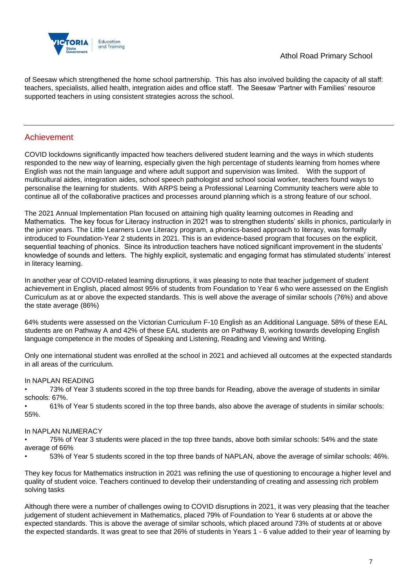

of Seesaw which strengthened the home school partnership. This has also involved building the capacity of all staff: teachers, specialists, allied health, integration aides and office staff. The Seesaw 'Partner with Families' resource supported teachers in using consistent strategies across the school.

#### Achievement

COVID lockdowns significantly impacted how teachers delivered student learning and the ways in which students responded to the new way of learning, especially given the high percentage of students learning from homes where English was not the main language and where adult support and supervision was limited. With the support of multicultural aides, integration aides, school speech pathologist and school social worker, teachers found ways to personalise the learning for students. With ARPS being a Professional Learning Community teachers were able to continue all of the collaborative practices and processes around planning which is a strong feature of our school.

The 2021 Annual Implementation Plan focused on attaining high quality learning outcomes in Reading and Mathematics. The key focus for Literacy instruction in 2021 was to strengthen students' skills in phonics, particularly in the junior years. The Little Learners Love Literacy program, a phonics-based approach to literacy, was formally introduced to Foundation-Year 2 students in 2021. This is an evidence-based program that focuses on the explicit, sequential teaching of phonics. Since its introduction teachers have noticed significant improvement in the students' knowledge of sounds and letters. The highly explicit, systematic and engaging format has stimulated students' interest in literacy learning.

In another year of COVID-related learning disruptions, it was pleasing to note that teacher judgement of student achievement in English, placed almost 95% of students from Foundation to Year 6 who were assessed on the English Curriculum as at or above the expected standards. This is well above the average of similar schools (76%) and above the state average (86%)

64% students were assessed on the Victorian Curriculum F-10 English as an Additional Language. 58% of these EAL students are on Pathway A and 42% of these EAL students are on Pathway B, working towards developing English language competence in the modes of Speaking and Listening, Reading and Viewing and Writing.

Only one international student was enrolled at the school in 2021 and achieved all outcomes at the expected standards in all areas of the curriculum.

#### In NAPLAN READING

• 73% of Year 3 students scored in the top three bands for Reading, above the average of students in similar schools: 67%.

• 61% of Year 5 students scored in the top three bands, also above the average of students in similar schools: 55%.

#### In NAPLAN NUMERACY

• 75% of Year 3 students were placed in the top three bands, above both similar schools: 54% and the state average of 66%

• 53% of Year 5 students scored in the top three bands of NAPLAN, above the average of similar schools: 46%.

They key focus for Mathematics instruction in 2021 was refining the use of questioning to encourage a higher level and quality of student voice. Teachers continued to develop their understanding of creating and assessing rich problem solving tasks

Although there were a number of challenges owing to COVID disruptions in 2021, it was very pleasing that the teacher judgement of student achievement in Mathematics, placed 79% of Foundation to Year 6 students at or above the expected standards. This is above the average of similar schools, which placed around 73% of students at or above the expected standards. It was great to see that 26% of students in Years 1 - 6 value added to their year of learning by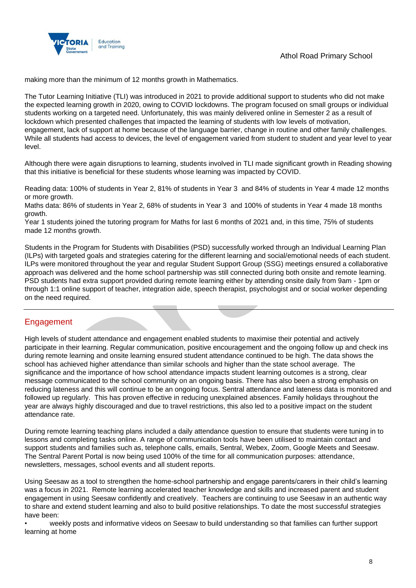

making more than the minimum of 12 months growth in Mathematics.

The Tutor Learning Initiative (TLI) was introduced in 2021 to provide additional support to students who did not make the expected learning growth in 2020, owing to COVID lockdowns. The program focused on small groups or individual students working on a targeted need. Unfortunately, this was mainly delivered online in Semester 2 as a result of lockdown which presented challenges that impacted the learning of students with low levels of motivation, engagement, lack of support at home because of the language barrier, change in routine and other family challenges. While all students had access to devices, the level of engagement varied from student to student and year level to year level.

Although there were again disruptions to learning, students involved in TLI made significant growth in Reading showing that this initiative is beneficial for these students whose learning was impacted by COVID.

Reading data: 100% of students in Year 2, 81% of students in Year 3 and 84% of students in Year 4 made 12 months or more growth.

Maths data: 86% of students in Year 2, 68% of students in Year 3 and 100% of students in Year 4 made 18 months growth.

Year 1 students joined the tutoring program for Maths for last 6 months of 2021 and, in this time, 75% of students made 12 months growth.

Students in the Program for Students with Disabilities (PSD) successfully worked through an Individual Learning Plan (ILPs) with targeted goals and strategies catering for the different learning and social/emotional needs of each student. ILPs were monitored throughout the year and regular Student Support Group (SSG) meetings ensured a collaborative approach was delivered and the home school partnership was still connected during both onsite and remote learning. PSD students had extra support provided during remote learning either by attending onsite daily from 9am - 1pm or through 1:1 online support of teacher, integration aide, speech therapist, psychologist and or social worker depending on the need required.

# Engagement

High levels of student attendance and engagement enabled students to maximise their potential and actively participate in their learning. Regular communication, positive encouragement and the ongoing follow up and check ins during remote learning and onsite learning ensured student attendance continued to be high. The data shows the school has achieved higher attendance than similar schools and higher than the state school average. The significance and the importance of how school attendance impacts student learning outcomes is a strong, clear message communicated to the school community on an ongoing basis. There has also been a strong emphasis on reducing lateness and this will continue to be an ongoing focus. Sentral attendance and lateness data is monitored and followed up regularly. This has proven effective in reducing unexplained absences. Family holidays throughout the year are always highly discouraged and due to travel restrictions, this also led to a positive impact on the student attendance rate.

During remote learning teaching plans included a daily attendance question to ensure that students were tuning in to lessons and completing tasks online. A range of communication tools have been utilised to maintain contact and support students and families such as, telephone calls, emails, Sentral, Webex, Zoom, Google Meets and Seesaw. The Sentral Parent Portal is now being used 100% of the time for all communication purposes: attendance, newsletters, messages, school events and all student reports.

Using Seesaw as a tool to strengthen the home-school partnership and engage parents/carers in their child's learning was a focus in 2021. Remote learning accelerated teacher knowledge and skills and increased parent and student engagement in using Seesaw confidently and creatively. Teachers are continuing to use Seesaw in an authentic way to share and extend student learning and also to build positive relationships. To date the most successful strategies have been:

• weekly posts and informative videos on Seesaw to build understanding so that families can further support learning at home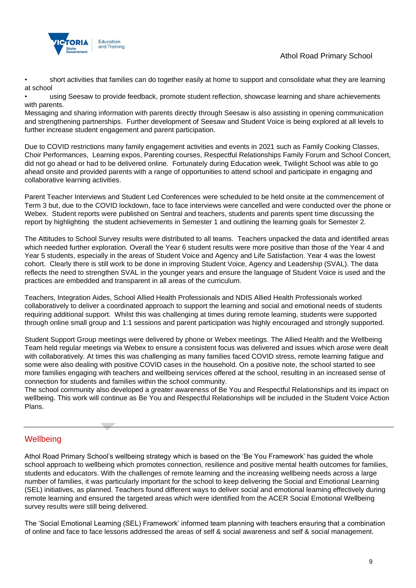

• short activities that families can do together easily at home to support and consolidate what they are learning at school

• using Seesaw to provide feedback, promote student reflection, showcase learning and share achievements with parents.

Messaging and sharing information with parents directly through Seesaw is also assisting in opening communication and strengthening partnerships. Further development of Seesaw and Student Voice is being explored at all levels to further increase student engagement and parent participation.

Due to COVID restrictions many family engagement activities and events in 2021 such as Family Cooking Classes, Choir Performances, Learning expos, Parenting courses, Respectful Relationships Family Forum and School Concert, did not go ahead or had to be delivered online. Fortunately during Education week, Twilight School was able to go ahead onsite and provided parents with a range of opportunities to attend school and participate in engaging and collaborative learning activities.

Parent Teacher Interviews and Student Led Conferences were scheduled to be held onsite at the commencement of Term 3 but, due to the COVID lockdown, face to face interviews were cancelled and were conducted over the phone or Webex. Student reports were published on Sentral and teachers, students and parents spent time discussing the report by highlighting the student achievements in Semester 1 and outlining the learning goals for Semester 2.

The Attitudes to School Survey results were distributed to all teams. Teachers unpacked the data and identified areas which needed further exploration. Overall the Year 6 student results were more positive than those of the Year 4 and Year 5 students, especially in the areas of Student Voice and Agency and Life Satisfaction. Year 4 was the lowest cohort. Clearly there is still work to be done in improving Student Voice, Agency and Leadership (SVAL). The data reflects the need to strengthen SVAL in the younger years and ensure the language of Student Voice is used and the practices are embedded and transparent in all areas of the curriculum.

Teachers, Integration Aides, School Allied Health Professionals and NDIS Allied Health Professionals worked collaboratively to deliver a coordinated approach to support the learning and social and emotional needs of students requiring additional support. Whilst this was challenging at times during remote learning, students were supported through online small group and 1:1 sessions and parent participation was highly encouraged and strongly supported.

Student Support Group meetings were delivered by phone or Webex meetings. The Allied Health and the Wellbeing Team held regular meetings via Webex to ensure a consistent focus was delivered and issues which arose were dealt with collaboratively. At times this was challenging as many families faced COVID stress, remote learning fatigue and some were also dealing with positive COVID cases in the household. On a positive note, the school started to see more families engaging with teachers and wellbeing services offered at the school, resulting in an increased sense of connection for students and families within the school community.

The school community also developed a greater awareness of Be You and Respectful Relationships and its impact on wellbeing. This work will continue as Be You and Respectful Relationships will be included in the Student Voice Action Plans.

# **Wellbeing**

Athol Road Primary School's wellbeing strategy which is based on the 'Be You Framework' has guided the whole school approach to wellbeing which promotes connection, resilience and positive mental health outcomes for families, students and educators. With the challenges of remote learning and the increasing wellbeing needs across a large number of families, it was particularly important for the school to keep delivering the Social and Emotional Learning (SEL) initiatives, as planned. Teachers found different ways to deliver social and emotional learning effectively during remote learning and ensured the targeted areas which were identified from the ACER Social Emotional Wellbeing survey results were still being delivered.

The 'Social Emotional Learning (SEL) Framework' informed team planning with teachers ensuring that a combination of online and face to face lessons addressed the areas of self & social awareness and self & social management.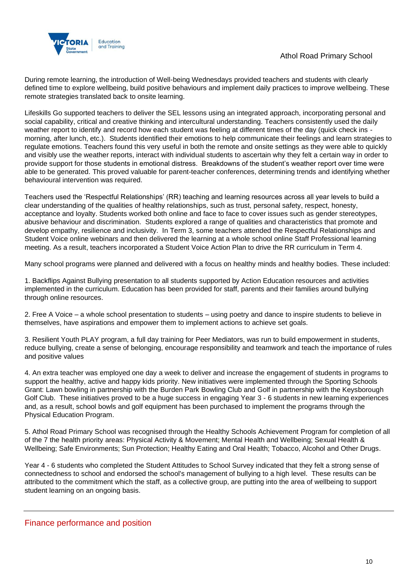

During remote learning, the introduction of Well-being Wednesdays provided teachers and students with clearly defined time to explore wellbeing, build positive behaviours and implement daily practices to improve wellbeing. These remote strategies translated back to onsite learning.

Lifeskills Go supported teachers to deliver the SEL lessons using an integrated approach, incorporating personal and social capability, critical and creative thinking and intercultural understanding. Teachers consistently used the daily weather report to identify and record how each student was feeling at different times of the day (quick check ins morning, after lunch, etc.). Students identified their emotions to help communicate their feelings and learn strategies to regulate emotions. Teachers found this very useful in both the remote and onsite settings as they were able to quickly and visibly use the weather reports, interact with individual students to ascertain why they felt a certain way in order to provide support for those students in emotional distress. Breakdowns of the student's weather report over time were able to be generated. This proved valuable for parent-teacher conferences, determining trends and identifying whether behavioural intervention was required.

Teachers used the 'Respectful Relationships' (RR) teaching and learning resources across all year levels to build a clear understanding of the qualities of healthy relationships, such as trust, personal safety, respect, honesty, acceptance and loyalty. Students worked both online and face to face to cover issues such as gender stereotypes, abusive behaviour and discrimination. Students explored a range of qualities and characteristics that promote and develop empathy, resilience and inclusivity. In Term 3, some teachers attended the Respectful Relationships and Student Voice online webinars and then delivered the learning at a whole school online Staff Professional learning meeting. As a result, teachers incorporated a Student Voice Action Plan to drive the RR curriculum in Term 4.

Many school programs were planned and delivered with a focus on healthy minds and healthy bodies. These included:

1. Backflips Against Bullying presentation to all students supported by Action Education resources and activities implemented in the curriculum. Education has been provided for staff, parents and their families around bullying through online resources.

2. Free A Voice – a whole school presentation to students – using poetry and dance to inspire students to believe in themselves, have aspirations and empower them to implement actions to achieve set goals.

3. Resilient Youth PLAY program, a full day training for Peer Mediators, was run to build empowerment in students, reduce bullying, create a sense of belonging, encourage responsibility and teamwork and teach the importance of rules and positive values

4. An extra teacher was employed one day a week to deliver and increase the engagement of students in programs to support the healthy, active and happy kids priority. New initiatives were implemented through the Sporting Schools Grant: Lawn bowling in partnership with the Burden Park Bowling Club and Golf in partnership with the Keysborough Golf Club. These initiatives proved to be a huge success in engaging Year 3 - 6 students in new learning experiences and, as a result, school bowls and golf equipment has been purchased to implement the programs through the Physical Education Program.

5. Athol Road Primary School was recognised through the Healthy Schools Achievement Program for completion of all of the 7 the health priority areas: Physical Activity & Movement; Mental Health and Wellbeing; Sexual Health & Wellbeing; Safe Environments; Sun Protection; Healthy Eating and Oral Health; Tobacco, Alcohol and Other Drugs.

Year 4 - 6 students who completed the Student Attitudes to School Survey indicated that they felt a strong sense of connectedness to school and endorsed the school's management of bullying to a high level. These results can be attributed to the commitment which the staff, as a collective group, are putting into the area of wellbeing to support student learning on an ongoing basis.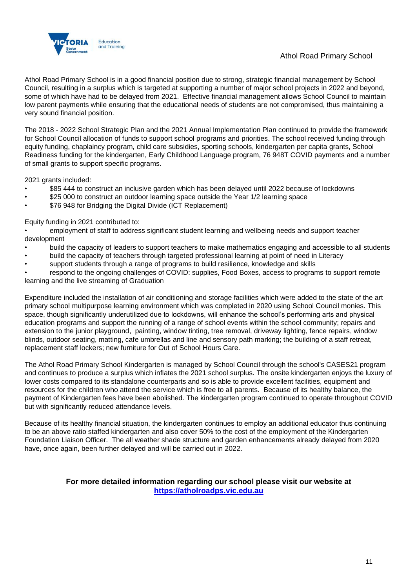

### Athol Road Primary School

Athol Road Primary School is in a good financial position due to strong, strategic financial management by School Council, resulting in a surplus which is targeted at supporting a number of major school projects in 2022 and beyond, some of which have had to be delayed from 2021. Effective financial management allows School Council to maintain low parent payments while ensuring that the educational needs of students are not compromised, thus maintaining a very sound financial position.

The 2018 - 2022 School Strategic Plan and the 2021 Annual Implementation Plan continued to provide the framework for School Council allocation of funds to support school programs and priorities. The school received funding through equity funding, chaplaincy program, child care subsidies, sporting schools, kindergarten per capita grants, School Readiness funding for the kindergarten, Early Childhood Language program, 76 948T COVID payments and a number of small grants to support specific programs.

2021 grants included:

- \$85 444 to construct an inclusive garden which has been delayed until 2022 because of lockdowns
- \$25 000 to construct an outdoor learning space outside the Year 1/2 learning space
- \$76 948 for Bridging the Digital Divide (ICT Replacement)

#### Equity funding in 2021 contributed to:

• employment of staff to address significant student learning and wellbeing needs and support teacher development

- build the capacity of leaders to support teachers to make mathematics engaging and accessible to all students
- build the capacity of teachers through targeted professional learning at point of need in Literacy
- support students through a range of programs to build resilience, knowledge and skills

• respond to the ongoing challenges of COVID: supplies, Food Boxes, access to programs to support remote learning and the live streaming of Graduation

Expenditure included the installation of air conditioning and storage facilities which were added to the state of the art primary school multipurpose learning environment which was completed in 2020 using School Council monies. This space, though significantly underutilized due to lockdowns, will enhance the school's performing arts and physical education programs and support the running of a range of school events within the school community; repairs and extension to the junior playground, painting, window tinting, tree removal, driveway lighting, fence repairs, window blinds, outdoor seating, matting, cafe umbrellas and line and sensory path marking; the building of a staff retreat, replacement staff lockers; new furniture for Out of School Hours Care.

The Athol Road Primary School Kindergarten is managed by School Council through the school's CASES21 program and continues to produce a surplus which inflates the 2021 school surplus. The onsite kindergarten enjoys the luxury of lower costs compared to its standalone counterparts and so is able to provide excellent facilities, equipment and resources for the children who attend the service which is free to all parents. Because of its healthy balance, the payment of Kindergarten fees have been abolished. The kindergarten program continued to operate throughout COVID but with significantly reduced attendance levels.

Because of its healthy financial situation, the kindergarten continues to employ an additional educator thus continuing to be an above ratio staffed kindergarten and also cover 50% to the cost of the employment of the Kindergarten Foundation Liaison Officer. The all weather shade structure and garden enhancements already delayed from 2020 have, once again, been further delayed and will be carried out in 2022.

#### **For more detailed information regarding our school please visit our website at [https://atholroadps.vic.edu.au](https://atholroadps.vic.edu.au/)**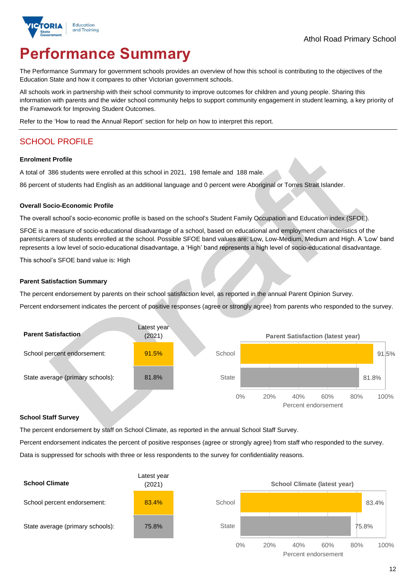

# **Performance Summary**

The Performance Summary for government schools provides an overview of how this school is contributing to the objectives of the Education State and how it compares to other Victorian government schools.

All schools work in partnership with their school community to improve outcomes for children and young people. Sharing this information with parents and the wider school community helps to support community engagement in student learning, a key priority of the Framework for Improving Student Outcomes.

Refer to the 'How to read the Annual Report' section for help on how to interpret this report.

# SCHOOL PROFILE

#### **Enrolment Profile**

A total of 386 students were enrolled at this school in 2021, 198 female and 188 male.

86 percent of students had English as an additional language and 0 percent were Aboriginal or Torres Strait Islander.

#### **Overall Socio-Economic Profile**

The overall school's socio-economic profile is based on the school's Student Family Occupation and Education index (SFOE).

SFOE is a measure of socio-educational disadvantage of a school, based on educational and employment characteristics of the parents/carers of students enrolled at the school. Possible SFOE band values are: Low, Low-Medium, Medium and High. A 'Low' band represents a low level of socio-educational disadvantage, a 'High' band represents a high level of socio-educational disadvantage.

This school's SFOE band value is: High

#### **Parent Satisfaction Summary**

The percent endorsement by parents on their school satisfaction level, as reported in the annual Parent Opinion Survey.

Percent endorsement indicates the percent of positive responses (agree or strongly agree) from parents who responded to the survey.

| <b>Parent Satisfaction</b>       | Latest year<br>(2021) |              |     | <b>Parent Satisfaction (latest year)</b> |                            |     |       |       |
|----------------------------------|-----------------------|--------------|-----|------------------------------------------|----------------------------|-----|-------|-------|
| School percent endorsement:      | 91.5%                 | School       |     |                                          |                            |     |       | 91.5% |
| State average (primary schools): | 81.8%                 | <b>State</b> |     |                                          |                            |     | 81.8% |       |
|                                  |                       | $0\%$        | 20% | 40%                                      | 60%<br>Percent endorsement | 80% | 100%  |       |

#### **School Staff Survey**

The percent endorsement by staff on School Climate, as reported in the annual School Staff Survey.

Percent endorsement indicates the percent of positive responses (agree or strongly agree) from staff who responded to the survey.

Data is suppressed for schools with three or less respondents to the survey for confidentiality reasons.

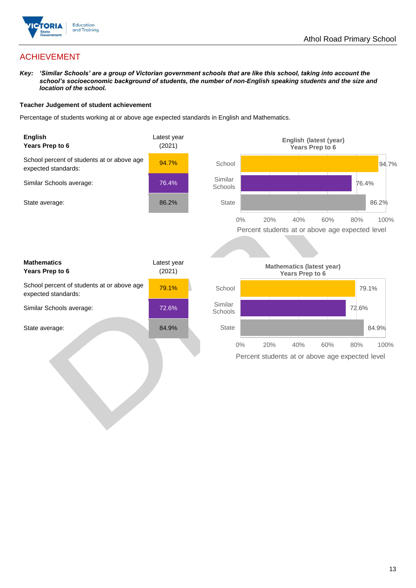

# ACHIEVEMENT

*Key: 'Similar Schools' are a group of Victorian government schools that are like this school, taking into account the school's socioeconomic background of students, the number of non-English speaking students and the size and location of the school.*

#### **Teacher Judgement of student achievement**

Percentage of students working at or above age expected standards in English and Mathematics.

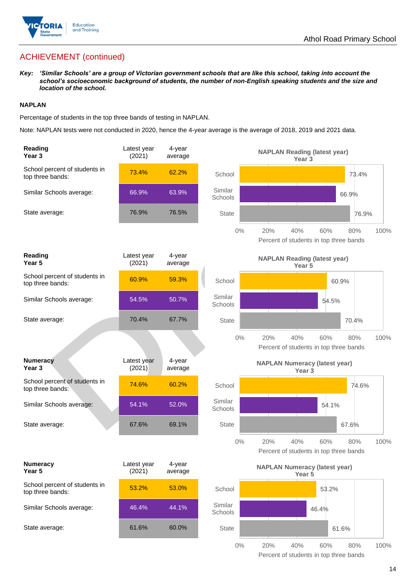

# ACHIEVEMENT (continued)

*Key: 'Similar Schools' are a group of Victorian government schools that are like this school, taking into account the school's socioeconomic background of students, the number of non-English speaking students and the size and location of the school.*

#### **NAPLAN**

Percentage of students in the top three bands of testing in NAPLAN.

Note: NAPLAN tests were not conducted in 2020, hence the 4-year average is the average of 2018, 2019 and 2021 data.

| Reading<br>Year 3                                 | Latest year<br>(2021) | 4-year<br>average |                    | <b>NAPLAN Reading (latest year)</b><br>Year <sub>3</sub>  |       |       |      |
|---------------------------------------------------|-----------------------|-------------------|--------------------|-----------------------------------------------------------|-------|-------|------|
| School percent of students in<br>top three bands: | 73.4%                 | 62.2%             | School             |                                                           |       | 73.4% |      |
| Similar Schools average:                          | 66.9%                 | 63.9%             | Similar<br>Schools |                                                           |       | 66.9% |      |
| State average:                                    | 76.9%                 | 76.5%             | <b>State</b>       |                                                           |       | 76.9% |      |
|                                                   |                       |                   | $0\%$              | 20%<br>40%<br>Percent of students in top three bands      | 60%   | 80%   | 100% |
| Reading<br>Year <sub>5</sub>                      | Latest year<br>(2021) | 4-year<br>average |                    | <b>NAPLAN Reading (latest year)</b><br>Year 5             |       |       |      |
| School percent of students in<br>top three bands: | 60.9%                 | 59.3%             | School             |                                                           |       | 60.9% |      |
| Similar Schools average:                          | 54.5%                 | 50.7%             | Similar<br>Schools |                                                           | 54.5% |       |      |
| State average:                                    | 70.4%                 | 67.7%             | <b>State</b>       |                                                           |       | 70.4% |      |
|                                                   |                       |                   | $0\%$              | 20%<br>40%<br>Percent of students in top three bands      | 60%   | 80%   | 100% |
|                                                   |                       |                   |                    |                                                           |       |       |      |
| <b>Numeracy</b><br>Year <sub>3</sub>              | Latest year<br>(2021) | 4-year<br>average |                    | <b>NAPLAN Numeracy (latest year)</b><br>Year <sub>3</sub> |       |       |      |
| School percent of students in<br>top three bands: | 74.6%                 | 60.2%             | School             |                                                           |       | 74.6% |      |
| Similar Schools average:                          | 54.1%                 | 52.0%             | Similar<br>Schools |                                                           | 54.1% |       |      |
| State average:                                    | 67.6%                 | 69.1%             | <b>State</b>       |                                                           |       | 67.6% |      |
|                                                   |                       |                   | $0\%$              | 20%<br>40%<br>Percent of students in top three bands      | 60%   | 80%   | 100% |
| <b>Numeracy</b><br>Year 5                         | Latest year<br>(2021) | 4-year<br>average |                    | <b>NAPLAN Numeracy (latest year)</b><br>Year 5            |       |       |      |
| School percent of students in<br>top three bands: | 53.2%                 | 53.0%             | School             |                                                           | 53.2% |       |      |
| Similar Schools average:                          | 46.4%                 | 44.1%             | Similar<br>Schools |                                                           | 46.4% |       |      |
| State average:                                    | 61.6%                 | 60.0%             | <b>State</b>       |                                                           |       | 61.6% |      |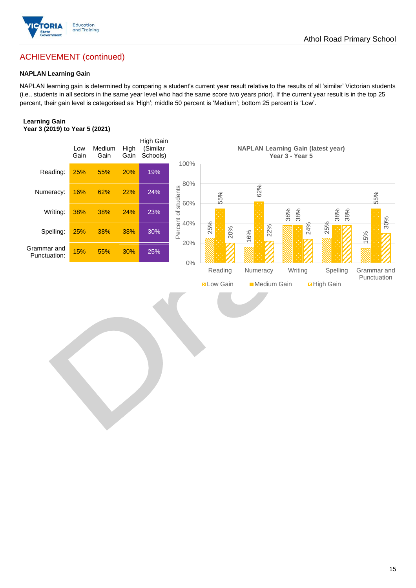

# ACHIEVEMENT (continued)

#### **NAPLAN Learning Gain**

NAPLAN learning gain is determined by comparing a student's current year result relative to the results of all 'similar' Victorian students (i.e., students in all sectors in the same year level who had the same score two years prior). If the current year result is in the top 25 percent, their gain level is categorised as 'High'; middle 50 percent is 'Medium'; bottom 25 percent is 'Low'.

#### **Learning Gain Year 3 (2019) to Year 5 (2021)**

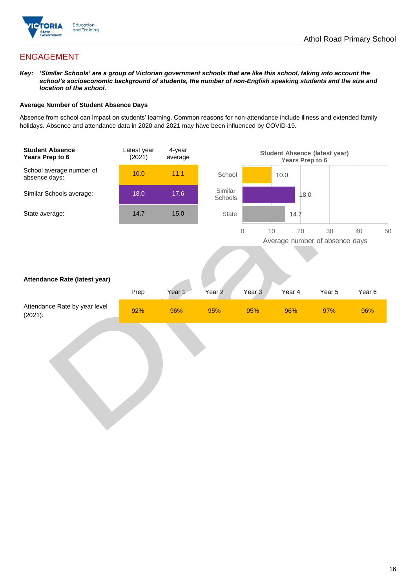

# ENGAGEMENT

*Key: 'Similar Schools' are a group of Victorian government schools that are like this school, taking into account the school's socioeconomic background of students, the number of non-English speaking students and the size and location of the school.*

#### **Average Number of Student Absence Days**

Absence from school can impact on students' learning. Common reasons for non-attendance include illness and extended family holidays. Absence and attendance data in 2020 and 2021 may have been influenced by COVID-19.

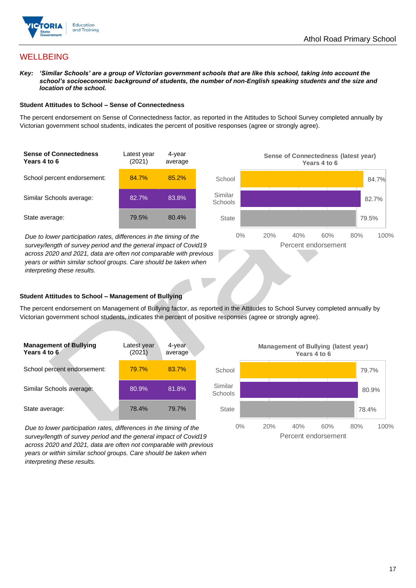![](_page_16_Picture_1.jpeg)

# **WELLBEING**

*Key: 'Similar Schools' are a group of Victorian government schools that are like this school, taking into account the school's socioeconomic background of students, the number of non-English speaking students and the size and location of the school.*

#### **Student Attitudes to School – Sense of Connectedness**

The percent endorsement on Sense of Connectedness factor, as reported in the Attitudes to School Survey completed annually by Victorian government school students, indicates the percent of positive responses (agree or strongly agree).

| <b>Sense of Connectedness</b><br>Years 4 to 6 | Latest year<br>(2021) | 4-year<br>average |
|-----------------------------------------------|-----------------------|-------------------|
| School percent endorsement:                   | 84.7%                 | 85.2%             |
| Similar Schools average:                      | 82.7%                 | 83.8%             |
| State average:                                | 79.5%                 | 80.4%             |

*Due to lower participation rates, differences in the timing of the survey/length of survey period and the general impact of Covid19 across 2020 and 2021, data are often not comparable with previous years or within similar school groups. Care should be taken when interpreting these results.*

![](_page_16_Figure_8.jpeg)

#### **Student Attitudes to School – Management of Bullying**

The percent endorsement on Management of Bullying factor, as reported in the Attitudes to School Survey completed annually by Victorian government school students, indicates the percent of positive responses (agree or strongly agree).

| <b>Management of Bullying</b><br>Years 4 to 6 | Latest year<br>(2021) | 4-year<br>average |  |
|-----------------------------------------------|-----------------------|-------------------|--|
| School percent endorsement:                   | 79.7%                 | 83.7%             |  |
| Similar Schools average:                      | 80.9%                 | 81.8%             |  |
| State average:                                | 78.4%                 | 79.7%             |  |

*Due to lower participation rates, differences in the timing of the survey/length of survey period and the general impact of Covid19 across 2020 and 2021, data are often not comparable with previous years or within similar school groups. Care should be taken when interpreting these results.*

![](_page_16_Figure_13.jpeg)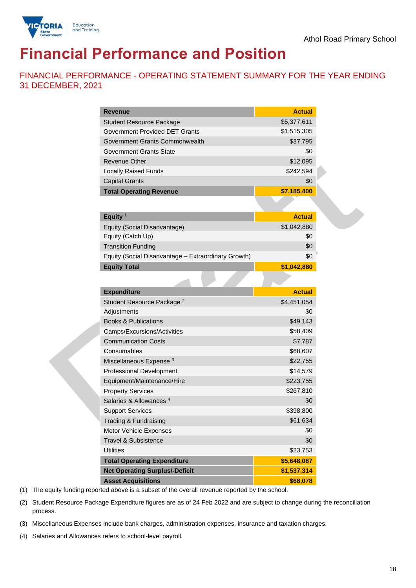![](_page_17_Picture_1.jpeg)

# **Financial Performance and Position**

FINANCIAL PERFORMANCE - OPERATING STATEMENT SUMMARY FOR THE YEAR ENDING 31 DECEMBER, 2021

| <b>Revenue</b><br><b>Actual</b><br>\$5,377,611<br><b>Student Resource Package</b><br><b>Government Provided DET Grants</b><br>\$1,515,305<br>\$37,795<br>Government Grants Commonwealth<br>\$0<br><b>Government Grants State</b><br>\$12,095<br><b>Revenue Other</b><br><b>Locally Raised Funds</b><br>\$242,594<br><b>Capital Grants</b><br>\$0<br>\$7,185,400<br><b>Total Operating Revenue</b><br>Equity <sup>1</sup><br><b>Actual</b><br>\$1,042,880<br>Equity (Social Disadvantage)<br>\$0<br>Equity (Catch Up)<br>\$0<br><b>Transition Funding</b><br>\$0<br>Equity (Social Disadvantage - Extraordinary Growth)<br>\$1,042,880<br><b>Equity Total</b><br><b>Expenditure</b><br><b>Actual</b><br>Student Resource Package <sup>2</sup><br>\$4,451,054<br>\$0<br>Adjustments<br>\$49,143<br><b>Books &amp; Publications</b><br>\$58,409<br>Camps/Excursions/Activities<br>\$7,787<br><b>Communication Costs</b><br>Consumables<br>\$68,607<br>Miscellaneous Expense <sup>3</sup><br>\$22,755<br>Professional Development<br>\$14,579<br>Equipment/Maintenance/Hire<br>\$223,755<br><b>Property Services</b><br>\$267,810<br>Salaries & Allowances <sup>4</sup><br>\$0<br>\$398,800<br><b>Support Services</b><br>Trading & Fundraising<br>\$61,634<br>\$0<br>Motor Vehicle Expenses<br>\$0<br><b>Travel &amp; Subsistence</b><br><b>Utilities</b><br>\$23,753<br><b>Total Operating Expenditure</b><br>\$5,648,087<br><b>Net Operating Surplus/-Deficit</b><br>\$1,537,314<br><b>Asset Acquisitions</b><br>\$68,078 |  |
|--------------------------------------------------------------------------------------------------------------------------------------------------------------------------------------------------------------------------------------------------------------------------------------------------------------------------------------------------------------------------------------------------------------------------------------------------------------------------------------------------------------------------------------------------------------------------------------------------------------------------------------------------------------------------------------------------------------------------------------------------------------------------------------------------------------------------------------------------------------------------------------------------------------------------------------------------------------------------------------------------------------------------------------------------------------------------------------------------------------------------------------------------------------------------------------------------------------------------------------------------------------------------------------------------------------------------------------------------------------------------------------------------------------------------------------------------------------------------------------------------------------------------|--|
|                                                                                                                                                                                                                                                                                                                                                                                                                                                                                                                                                                                                                                                                                                                                                                                                                                                                                                                                                                                                                                                                                                                                                                                                                                                                                                                                                                                                                                                                                                                          |  |
|                                                                                                                                                                                                                                                                                                                                                                                                                                                                                                                                                                                                                                                                                                                                                                                                                                                                                                                                                                                                                                                                                                                                                                                                                                                                                                                                                                                                                                                                                                                          |  |
|                                                                                                                                                                                                                                                                                                                                                                                                                                                                                                                                                                                                                                                                                                                                                                                                                                                                                                                                                                                                                                                                                                                                                                                                                                                                                                                                                                                                                                                                                                                          |  |
|                                                                                                                                                                                                                                                                                                                                                                                                                                                                                                                                                                                                                                                                                                                                                                                                                                                                                                                                                                                                                                                                                                                                                                                                                                                                                                                                                                                                                                                                                                                          |  |
|                                                                                                                                                                                                                                                                                                                                                                                                                                                                                                                                                                                                                                                                                                                                                                                                                                                                                                                                                                                                                                                                                                                                                                                                                                                                                                                                                                                                                                                                                                                          |  |
|                                                                                                                                                                                                                                                                                                                                                                                                                                                                                                                                                                                                                                                                                                                                                                                                                                                                                                                                                                                                                                                                                                                                                                                                                                                                                                                                                                                                                                                                                                                          |  |
|                                                                                                                                                                                                                                                                                                                                                                                                                                                                                                                                                                                                                                                                                                                                                                                                                                                                                                                                                                                                                                                                                                                                                                                                                                                                                                                                                                                                                                                                                                                          |  |
|                                                                                                                                                                                                                                                                                                                                                                                                                                                                                                                                                                                                                                                                                                                                                                                                                                                                                                                                                                                                                                                                                                                                                                                                                                                                                                                                                                                                                                                                                                                          |  |
|                                                                                                                                                                                                                                                                                                                                                                                                                                                                                                                                                                                                                                                                                                                                                                                                                                                                                                                                                                                                                                                                                                                                                                                                                                                                                                                                                                                                                                                                                                                          |  |
|                                                                                                                                                                                                                                                                                                                                                                                                                                                                                                                                                                                                                                                                                                                                                                                                                                                                                                                                                                                                                                                                                                                                                                                                                                                                                                                                                                                                                                                                                                                          |  |
|                                                                                                                                                                                                                                                                                                                                                                                                                                                                                                                                                                                                                                                                                                                                                                                                                                                                                                                                                                                                                                                                                                                                                                                                                                                                                                                                                                                                                                                                                                                          |  |
|                                                                                                                                                                                                                                                                                                                                                                                                                                                                                                                                                                                                                                                                                                                                                                                                                                                                                                                                                                                                                                                                                                                                                                                                                                                                                                                                                                                                                                                                                                                          |  |
|                                                                                                                                                                                                                                                                                                                                                                                                                                                                                                                                                                                                                                                                                                                                                                                                                                                                                                                                                                                                                                                                                                                                                                                                                                                                                                                                                                                                                                                                                                                          |  |
|                                                                                                                                                                                                                                                                                                                                                                                                                                                                                                                                                                                                                                                                                                                                                                                                                                                                                                                                                                                                                                                                                                                                                                                                                                                                                                                                                                                                                                                                                                                          |  |
|                                                                                                                                                                                                                                                                                                                                                                                                                                                                                                                                                                                                                                                                                                                                                                                                                                                                                                                                                                                                                                                                                                                                                                                                                                                                                                                                                                                                                                                                                                                          |  |
|                                                                                                                                                                                                                                                                                                                                                                                                                                                                                                                                                                                                                                                                                                                                                                                                                                                                                                                                                                                                                                                                                                                                                                                                                                                                                                                                                                                                                                                                                                                          |  |
|                                                                                                                                                                                                                                                                                                                                                                                                                                                                                                                                                                                                                                                                                                                                                                                                                                                                                                                                                                                                                                                                                                                                                                                                                                                                                                                                                                                                                                                                                                                          |  |
|                                                                                                                                                                                                                                                                                                                                                                                                                                                                                                                                                                                                                                                                                                                                                                                                                                                                                                                                                                                                                                                                                                                                                                                                                                                                                                                                                                                                                                                                                                                          |  |
|                                                                                                                                                                                                                                                                                                                                                                                                                                                                                                                                                                                                                                                                                                                                                                                                                                                                                                                                                                                                                                                                                                                                                                                                                                                                                                                                                                                                                                                                                                                          |  |
|                                                                                                                                                                                                                                                                                                                                                                                                                                                                                                                                                                                                                                                                                                                                                                                                                                                                                                                                                                                                                                                                                                                                                                                                                                                                                                                                                                                                                                                                                                                          |  |
|                                                                                                                                                                                                                                                                                                                                                                                                                                                                                                                                                                                                                                                                                                                                                                                                                                                                                                                                                                                                                                                                                                                                                                                                                                                                                                                                                                                                                                                                                                                          |  |
|                                                                                                                                                                                                                                                                                                                                                                                                                                                                                                                                                                                                                                                                                                                                                                                                                                                                                                                                                                                                                                                                                                                                                                                                                                                                                                                                                                                                                                                                                                                          |  |
|                                                                                                                                                                                                                                                                                                                                                                                                                                                                                                                                                                                                                                                                                                                                                                                                                                                                                                                                                                                                                                                                                                                                                                                                                                                                                                                                                                                                                                                                                                                          |  |
|                                                                                                                                                                                                                                                                                                                                                                                                                                                                                                                                                                                                                                                                                                                                                                                                                                                                                                                                                                                                                                                                                                                                                                                                                                                                                                                                                                                                                                                                                                                          |  |
|                                                                                                                                                                                                                                                                                                                                                                                                                                                                                                                                                                                                                                                                                                                                                                                                                                                                                                                                                                                                                                                                                                                                                                                                                                                                                                                                                                                                                                                                                                                          |  |
|                                                                                                                                                                                                                                                                                                                                                                                                                                                                                                                                                                                                                                                                                                                                                                                                                                                                                                                                                                                                                                                                                                                                                                                                                                                                                                                                                                                                                                                                                                                          |  |
|                                                                                                                                                                                                                                                                                                                                                                                                                                                                                                                                                                                                                                                                                                                                                                                                                                                                                                                                                                                                                                                                                                                                                                                                                                                                                                                                                                                                                                                                                                                          |  |
|                                                                                                                                                                                                                                                                                                                                                                                                                                                                                                                                                                                                                                                                                                                                                                                                                                                                                                                                                                                                                                                                                                                                                                                                                                                                                                                                                                                                                                                                                                                          |  |
|                                                                                                                                                                                                                                                                                                                                                                                                                                                                                                                                                                                                                                                                                                                                                                                                                                                                                                                                                                                                                                                                                                                                                                                                                                                                                                                                                                                                                                                                                                                          |  |
|                                                                                                                                                                                                                                                                                                                                                                                                                                                                                                                                                                                                                                                                                                                                                                                                                                                                                                                                                                                                                                                                                                                                                                                                                                                                                                                                                                                                                                                                                                                          |  |
|                                                                                                                                                                                                                                                                                                                                                                                                                                                                                                                                                                                                                                                                                                                                                                                                                                                                                                                                                                                                                                                                                                                                                                                                                                                                                                                                                                                                                                                                                                                          |  |
|                                                                                                                                                                                                                                                                                                                                                                                                                                                                                                                                                                                                                                                                                                                                                                                                                                                                                                                                                                                                                                                                                                                                                                                                                                                                                                                                                                                                                                                                                                                          |  |
|                                                                                                                                                                                                                                                                                                                                                                                                                                                                                                                                                                                                                                                                                                                                                                                                                                                                                                                                                                                                                                                                                                                                                                                                                                                                                                                                                                                                                                                                                                                          |  |
|                                                                                                                                                                                                                                                                                                                                                                                                                                                                                                                                                                                                                                                                                                                                                                                                                                                                                                                                                                                                                                                                                                                                                                                                                                                                                                                                                                                                                                                                                                                          |  |
|                                                                                                                                                                                                                                                                                                                                                                                                                                                                                                                                                                                                                                                                                                                                                                                                                                                                                                                                                                                                                                                                                                                                                                                                                                                                                                                                                                                                                                                                                                                          |  |
|                                                                                                                                                                                                                                                                                                                                                                                                                                                                                                                                                                                                                                                                                                                                                                                                                                                                                                                                                                                                                                                                                                                                                                                                                                                                                                                                                                                                                                                                                                                          |  |
|                                                                                                                                                                                                                                                                                                                                                                                                                                                                                                                                                                                                                                                                                                                                                                                                                                                                                                                                                                                                                                                                                                                                                                                                                                                                                                                                                                                                                                                                                                                          |  |

(1) The equity funding reported above is a subset of the overall revenue reported by the school.

(2) Student Resource Package Expenditure figures are as of 24 Feb 2022 and are subject to change during the reconciliation process.

(3) Miscellaneous Expenses include bank charges, administration expenses, insurance and taxation charges.

(4) Salaries and Allowances refers to school-level payroll.